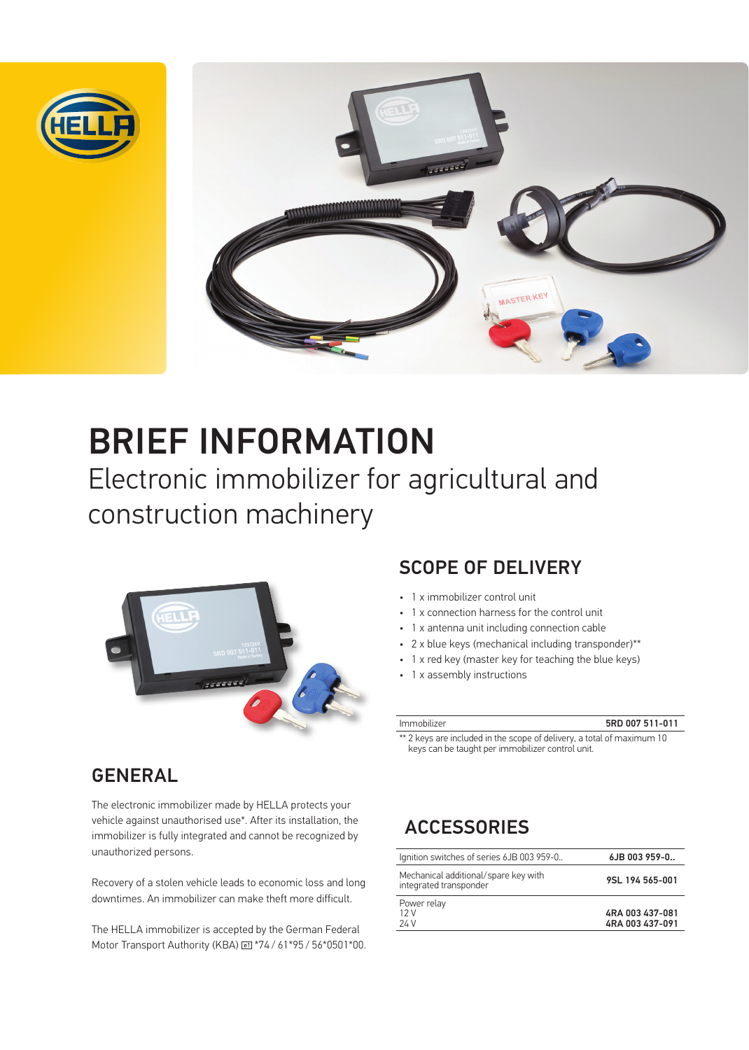



# BRIEF INFORMATION

Electronic immobilizer for agricultural and construction machinery



# GENERAL

The electronic immobilizer made by HELLA protects your vehicle against unauthorised use\*. After its installation, the immobilizer is fully integrated and cannot be recognized by unauthorized persons.

Recovery of a stolen vehicle leads to economic loss and long downtimes. An immobilizer can make theft more difficult.

The HELLA immobilizer is accepted by the German Federal Motor Transport Authority (KBA) @ \*74 / 61\*95 / 56\*0501\*00.

### SCOPE OF DELIVERY

- 1 x immobilizer control unit
- 1 x connection harness for the control unit
- 1 x antenna unit including connection cable
- 2 x blue keys (mechanical including transponder)\*\*
- 1 x red key (master key for teaching the blue keys)
- 1 x assembly instructions

5RD 007 511-011

\*\* 2 keys are included in the scope of delivery, a total of maximum 10 keys can be taught per immobilizer control unit.

# **ACCESSORIES**

| Ignition switches of series 6JB 003 959-0                      | 6JB 003 959-0                      |
|----------------------------------------------------------------|------------------------------------|
| Mechanical additional/spare key with<br>integrated transponder | 9SL 194 565-001                    |
| Power relay<br>12V<br>24 V                                     | 4RA 003 437-081<br>4RA 003 437-091 |